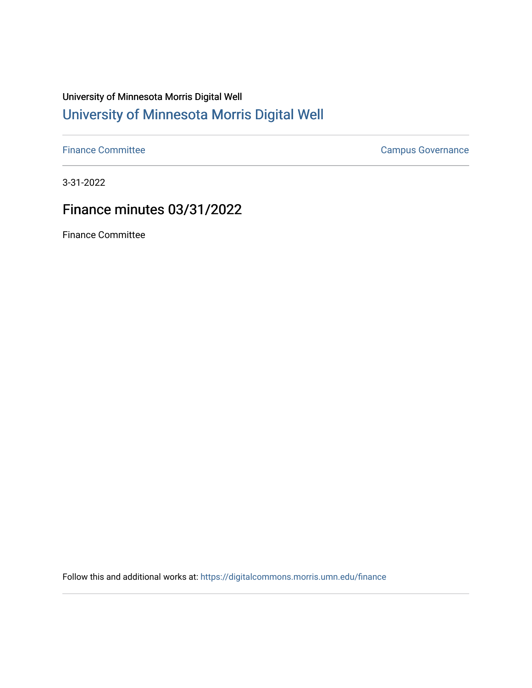# University of Minnesota Morris Digital Well [University of Minnesota Morris Digital Well](https://digitalcommons.morris.umn.edu/)

[Finance Committee](https://digitalcommons.morris.umn.edu/finance) **Campus Governance** Campus Governance

3-31-2022

# Finance minutes 03/31/2022

Finance Committee

Follow this and additional works at: [https://digitalcommons.morris.umn.edu/finance](https://digitalcommons.morris.umn.edu/finance?utm_source=digitalcommons.morris.umn.edu%2Ffinance%2F160&utm_medium=PDF&utm_campaign=PDFCoverPages)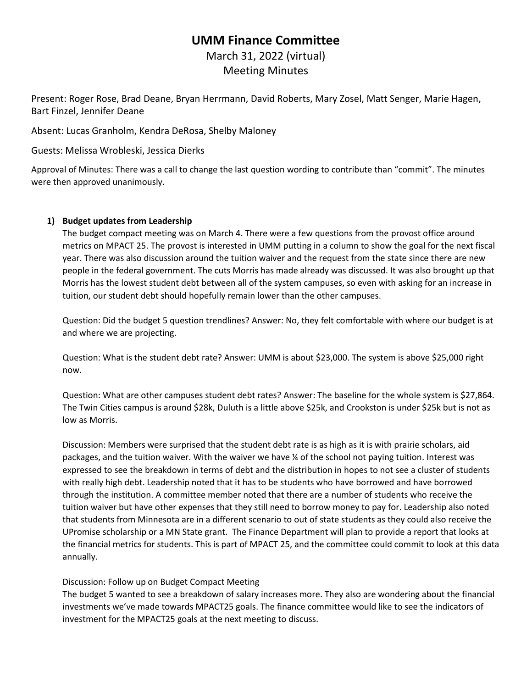## **UMM Finance Committee**

March 31, 2022 (virtual) Meeting Minutes

Present: Roger Rose, Brad Deane, Bryan Herrmann, David Roberts, Mary Zosel, Matt Senger, Marie Hagen, Bart Finzel, Jennifer Deane

Absent: Lucas Granholm, Kendra DeRosa, Shelby Maloney

Guests: Melissa Wrobleski, Jessica Dierks

Approval of Minutes: There was a call to change the last question wording to contribute than "commit". The minutes were then approved unanimously.

### **1) Budget updates from Leadership**

The budget compact meeting was on March 4. There were a few questions from the provost office around metrics on MPACT 25. The provost is interested in UMM putting in a column to show the goal for the next fiscal year. There was also discussion around the tuition waiver and the request from the state since there are new people in the federal government. The cuts Morris has made already was discussed. It was also brought up that Morris has the lowest student debt between all of the system campuses, so even with asking for an increase in tuition, our student debt should hopefully remain lower than the other campuses.

Question: Did the budget 5 question trendlines? Answer: No, they felt comfortable with where our budget is at and where we are projecting.

Question: What is the student debt rate? Answer: UMM is about \$23,000. The system is above \$25,000 right now.

Question: What are other campuses student debt rates? Answer: The baseline for the whole system is \$27,864. The Twin Cities campus is around \$28k, Duluth is a little above \$25k, and Crookston is under \$25k but is not as low as Morris.

Discussion: Members were surprised that the student debt rate is as high as it is with prairie scholars, aid packages, and the tuition waiver. With the waiver we have  $\frac{y}{x}$  of the school not paying tuition. Interest was expressed to see the breakdown in terms of debt and the distribution in hopes to not see a cluster of students with really high debt. Leadership noted that it has to be students who have borrowed and have borrowed through the institution. A committee member noted that there are a number of students who receive the tuition waiver but have other expenses that they still need to borrow money to pay for. Leadership also noted that students from Minnesota are in a different scenario to out of state students as they could also receive the UPromise scholarship or a MN State grant. The Finance Department will plan to provide a report that looks at the financial metrics for students. This is part of MPACT 25, and the committee could commit to look at this data annually.

### Discussion: Follow up on Budget Compact Meeting

The budget 5 wanted to see a breakdown of salary increases more. They also are wondering about the financial investments we've made towards MPACT25 goals. The finance committee would like to see the indicators of investment for the MPACT25 goals at the next meeting to discuss.